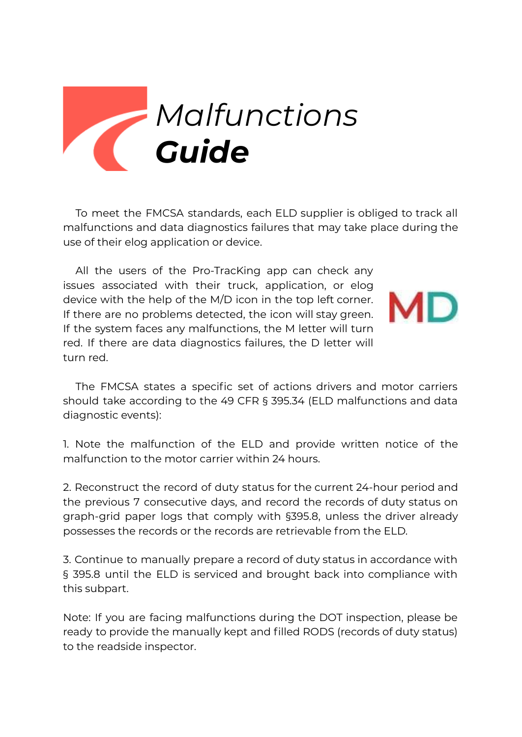

To meet the FMCSA standards, each ELD supplier is obliged to track all malfunctions and data diagnostics failures that may take place during the use of their elog application or device.

All the users of the Pro-TracKing app can check any issues associated with their truck, application, or elog device with the help of the M/D icon in the top left corner. If there are no problems detected, the icon will stay green. If the system faces any malfunctions, the M letter will turn red. If there are data diagnostics failures, the D letter will turn red.



The FMCSA states a specific set of actions drivers and motor carriers should take according to the 49 CFR § 395.34 (ELD malfunctions and data diagnostic events):

1. Note the malfunction of the ELD and provide written notice of the malfunction to the motor carrier within 24 hours.

2. Reconstruct the record of duty status for the current 24-hour period and the previous 7 consecutive days, and record the records of duty status on graph-grid paper logs that comply with §395.8, unless the driver already possesses the records or the records are retrievable from the ELD.

3. Continue to manually prepare a record of duty status in accordance with § 395.8 until the ELD is serviced and brought back into compliance with this subpart.

Note: If you are facing malfunctions during the DOT inspection, please be ready to provide the manually kept and filled RODS (records of duty status) to the readside inspector.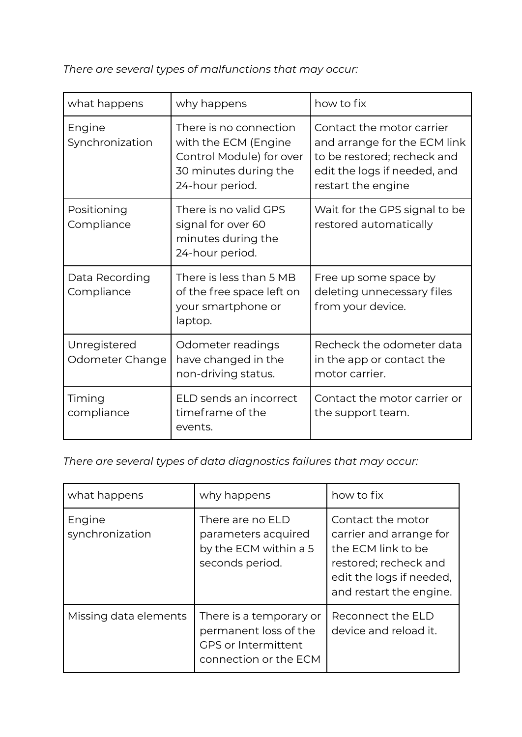*There are several types of malfunctions that may occur:*

| what happens                    | why happens                                                                                                            | how to fix                                                                                                                                     |
|---------------------------------|------------------------------------------------------------------------------------------------------------------------|------------------------------------------------------------------------------------------------------------------------------------------------|
| Engine<br>Synchronization       | There is no connection<br>with the ECM (Engine<br>Control Module) for over<br>30 minutes during the<br>24-hour period. | Contact the motor carrier<br>and arrange for the ECM link<br>to be restored; recheck and<br>edit the logs if needed, and<br>restart the engine |
| Positioning<br>Compliance       | There is no valid GPS<br>signal for over 60<br>minutes during the<br>24-hour period.                                   | Wait for the GPS signal to be<br>restored automatically                                                                                        |
| Data Recording<br>Compliance    | There is less than 5 MB<br>of the free space left on<br>your smartphone or<br>laptop.                                  | Free up some space by<br>deleting unnecessary files<br>from your device.                                                                       |
| Unregistered<br>Odometer Change | Odometer readings<br>have changed in the<br>non-driving status.                                                        | Recheck the odometer data<br>in the app or contact the<br>motor carrier.                                                                       |
| Timing<br>compliance            | ELD sends an incorrect<br>timeframe of the<br>events.                                                                  | Contact the motor carrier or<br>the support team.                                                                                              |

*There are several types of data diagnostics failures that may occur:*

| what happens              | why happens                                                                                             | how to fix                                                                                                                                         |
|---------------------------|---------------------------------------------------------------------------------------------------------|----------------------------------------------------------------------------------------------------------------------------------------------------|
| Engine<br>synchronization | There are no ELD<br>parameters acquired<br>by the ECM within a 5<br>seconds period.                     | Contact the motor<br>carrier and arrange for<br>the ECM link to be<br>restored; recheck and<br>edit the logs if needed,<br>and restart the engine. |
| Missing data elements     | There is a temporary or<br>permanent loss of the<br><b>GPS or Intermittent</b><br>connection or the ECM | Reconnect the ELD<br>device and reload it.                                                                                                         |